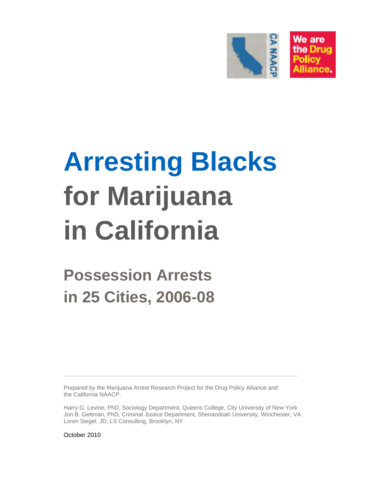

# **Arresting Blacks for Marijuana in California**

**Possession Arrests in 25 Cities, 2006-08** 

Prepared by the Marijuana Arrest Research Project for the Drug Policy Alliance and the California NAACP.

Harry G. Levine, PhD, Sociology Department, Queens College, City University of New York Jon B. Gettman, PhD, Criminal Justice Department, Shenandoah University, Winchester, VA Loren Siegel, JD, LS Consulting, Brooklyn, NY

**\_\_\_\_\_\_\_\_\_\_\_\_\_\_\_\_\_\_\_\_\_\_\_\_\_\_\_\_\_\_\_\_\_\_\_\_\_\_\_\_\_\_\_\_\_\_\_\_\_\_\_\_\_\_\_\_\_\_\_\_\_\_\_\_\_\_\_\_\_** 

October 2010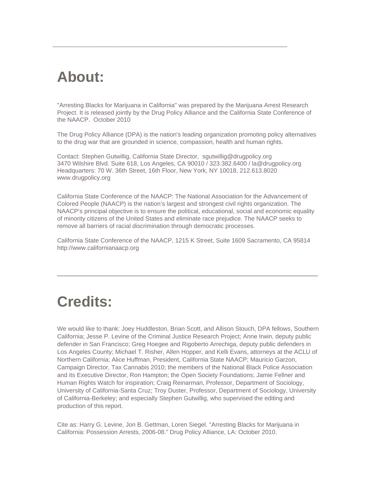# **About:**

"Arresting Blacks for Marijuana in California" was prepared by the Marijuana Arrest Research Project. It is released jointly by the Drug Policy Alliance and the California State Conference of the NAACP. October 2010

\_\_\_\_\_\_\_\_\_\_\_\_\_\_\_\_\_\_\_\_\_\_\_\_\_\_\_\_\_\_\_\_\_\_\_\_\_\_\_\_\_\_\_\_\_\_\_\_\_\_\_\_\_\_\_\_\_\_\_\_\_\_\_\_

The Drug Policy Alliance (DPA) is the nation's leading organization promoting policy alternatives to the drug war that are grounded in science, compassion, health and human rights.

Contact: Stephen Gutwillig, California State Director, sgutwillig@drugpolicy.org 3470 Wilshire Blvd. Suite 618, Los Angeles, CA 90010 / 323.382.6400 / la@drugpolicy.org Headquarters: 70 W. 36th Street, 16th Floor, New York, NY 10018, 212.613.8020 www.drugpolicy.org

California State Conference of the NAACP: The National Association for the Advancement of Colored People (NAACP) is the nation's largest and strongest civil rights organization. The NAACP's principal objective is to ensure the political, educational, social and economic equality of minority citizens of the United States and eliminate race prejudice. The NAACP seeks to remove all barriers of racial discrimination through democratic processes.

California State Conference of the NAACP, 1215 K Street, Suite 1609 Sacramento, CA 95814 http://www.californianaacp.org

\_\_\_\_\_\_\_\_\_\_\_\_\_\_\_\_\_\_\_\_\_\_\_\_\_\_\_\_\_\_\_\_\_\_\_\_\_\_\_\_\_\_\_\_\_\_\_\_\_\_\_\_\_\_\_\_\_\_\_\_\_\_\_\_

# **Credits:**

We would like to thank: Joey Huddleston, Brian Scott, and Allison Stouch, DPA fellows, Southern California; Jesse P. Levine of the Criminal Justice Research Project; Anne Irwin, deputy public defender in San Francisco; Greg Hoegee and Rigoberto Arrechiga, deputy public defenders in Los Angeles County; Michael T. Risher, Allen Hopper, and Kelli Evans, attorneys at the ACLU of Northern California; Alice Huffman, President, California State NAACP; Mauricio Garzon, Campaign Director, Tax Cannabis 2010; the members of the National Black Police Association and its Executive Director, Ron Hampton; the Open Society Foundations; Jamie Fellner and Human Rights Watch for inspiration; Craig Reinarman, Professor, Department of Sociology, University of California-Santa Cruz; Troy Duster, Professor, Department of Sociology, University of California-Berkeley; and especially Stephen Gutwillig, who supervised the editing and production of this report.

Cite as: Harry G. Levine, Jon B. Gettman, Loren Siegel. "Arresting Blacks for Marijuana in California: Possession Arrests, 2006-08." Drug Policy Alliance, LA: October 2010.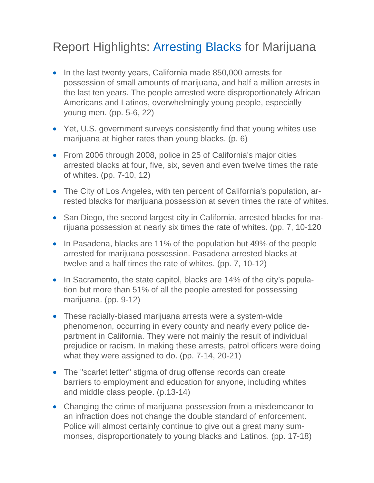### Report Highlights: Arresting Blacks for Marijuana

- In the last twenty years, California made 850,000 arrests for possession of small amounts of marijuana, and half a million arrests in the last ten years. The people arrested were disproportionately African Americans and Latinos, overwhelmingly young people, especially young men. (pp. 5-6, 22)
- Yet, U.S. government surveys consistently find that young whites use marijuana at higher rates than young blacks. (p. 6)
- From 2006 through 2008, police in 25 of California's major cities arrested blacks at four, five, six, seven and even twelve times the rate of whites. (pp. 7-10, 12)
- The City of Los Angeles, with ten percent of California's population, arrested blacks for marijuana possession at seven times the rate of whites.
- San Diego, the second largest city in California, arrested blacks for marijuana possession at nearly six times the rate of whites. (pp. 7, 10-120
- In Pasadena, blacks are 11% of the population but 49% of the people arrested for marijuana possession. Pasadena arrested blacks at twelve and a half times the rate of whites. (pp. 7, 10-12)
- In Sacramento, the state capitol, blacks are 14% of the city's population but more than 51% of all the people arrested for possessing marijuana. (pp. 9-12)
- These racially-biased marijuana arrests were a system-wide phenomenon, occurring in every county and nearly every police department in California. They were not mainly the result of individual prejudice or racism. In making these arrests, patrol officers were doing what they were assigned to do. (pp. 7-14, 20-21)
- The "scarlet letter" stigma of drug offense records can create barriers to employment and education for anyone, including whites and middle class people. (p.13-14)
- Changing the crime of marijuana possession from a misdemeanor to an infraction does not change the double standard of enforcement. Police will almost certainly continue to give out a great many summonses, disproportionately to young blacks and Latinos. (pp. 17-18)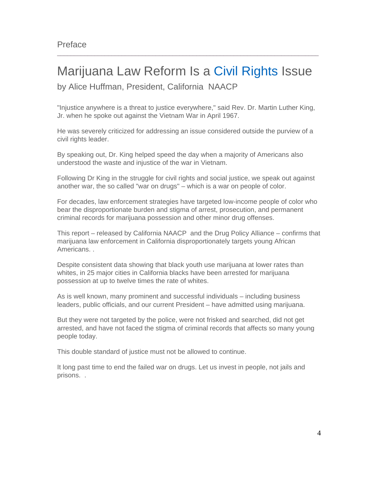# Marijuana Law Reform Is a Civil Rights Issue

 $\Box \Box \Box \Box \Box \Box \Box \Box$ 

by Alice Huffman, President, California NAACP

"Injustice anywhere is a threat to justice everywhere," said Rev. Dr. Martin Luther King, Jr. when he spoke out against the Vietnam War in April 1967.

He was severely criticized for addressing an issue considered outside the purview of a civil rights leader.

By speaking out, Dr. King helped speed the day when a majority of Americans also understood the waste and injustice of the war in Vietnam.

Following Dr King in the struggle for civil rights and social justice, we speak out against another war, the so called "war on drugs" – which is a war on people of color.

For decades, law enforcement strategies have targeted low-income people of color who bear the disproportionate burden and stigma of arrest, prosecution, and permanent criminal records for marijuana possession and other minor drug offenses.

This report – released by California NAACP and the Drug Policy Alliance – confirms that marijuana law enforcement in California disproportionately targets young African Americans. .

Despite consistent data showing that black youth use marijuana at lower rates than whites, in 25 major cities in California blacks have been arrested for marijuana possession at up to twelve times the rate of whites.

As is well known, many prominent and successful individuals – including business leaders, public officials, and our current President – have admitted using marijuana.

But they were not targeted by the police, were not frisked and searched, did not get arrested, and have not faced the stigma of criminal records that affects so many young people today.

This double standard of justice must not be allowed to continue.

It long past time to end the failed war on drugs. Let us invest in people, not jails and prisons. .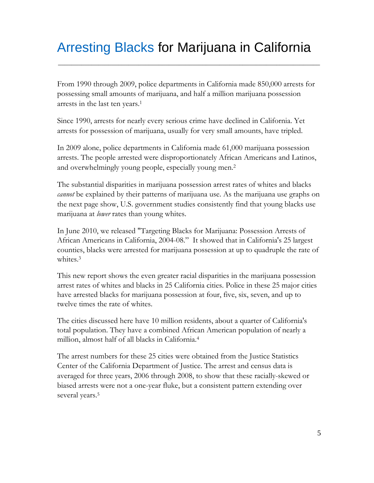# Arresting Blacks for Marijuana in California

\_\_\_\_\_\_\_\_\_\_\_\_\_\_\_\_\_\_\_\_\_\_\_\_\_\_\_\_\_\_\_\_\_\_\_\_\_\_\_\_\_\_\_\_\_\_\_\_\_\_\_\_\_\_\_\_\_\_\_\_\_\_\_\_\_\_\_\_\_\_\_\_\_\_\_\_\_\_

From 1990 through 2009, police departments in California made 850,000 arrests for possessing small amounts of marijuana, and half a million marijuana possession arrests in the last ten years.1

Since 1990, arrests for nearly every serious crime have declined in California. Yet arrests for possession of marijuana, usually for very small amounts, have tripled.

In 2009 alone, police departments in California made 61,000 marijuana possession arrests. The people arrested were disproportionately African Americans and Latinos, and overwhelmingly young people, especially young men.2

The substantial disparities in marijuana possession arrest rates of whites and blacks *cannot* be explained by their patterns of marijuana use. As the marijuana use graphs on the next page show, U.S. government studies consistently find that young blacks use marijuana at *lower* rates than young whites.

In June 2010, we released "Targeting Blacks for Marijuana: Possession Arrests of African Americans in California, 2004-08." It showed that in California's 25 largest counties, blacks were arrested for marijuana possession at up to quadruple the rate of whites.3

This new report shows the even greater racial disparities in the marijuana possession arrest rates of whites and blacks in 25 California cities. Police in these 25 major cities have arrested blacks for marijuana possession at four, five, six, seven, and up to twelve times the rate of whites.

The cities discussed here have 10 million residents, about a quarter of California's total population. They have a combined African American population of nearly a million, almost half of all blacks in California.4

The arrest numbers for these 25 cities were obtained from the Justice Statistics Center of the California Department of Justice. The arrest and census data is averaged for three years, 2006 through 2008, to show that these racially-skewed or biased arrests were not a one-year fluke, but a consistent pattern extending over several years.<sup>5</sup>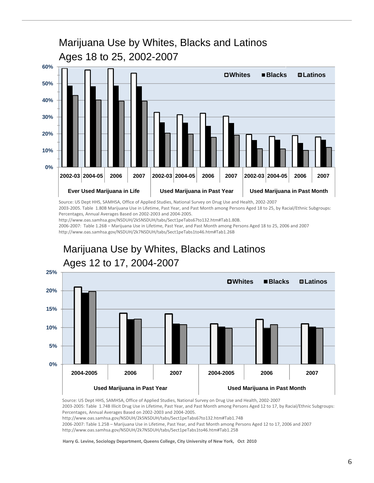

\_\_\_\_\_\_\_\_\_\_\_\_\_\_\_\_\_\_\_\_\_\_\_\_\_\_\_\_\_\_\_\_\_\_\_\_\_\_\_\_\_\_\_\_\_\_\_\_\_\_\_\_\_\_\_\_\_\_\_\_\_\_\_\_\_\_\_\_\_\_\_\_\_\_\_\_\_\_\_\_\_\_\_\_\_\_\_\_\_\_

Source: US Dept HHS, SAMHSA, Office of Applied Studies, National Survey on Drug Use and Health, 2002‐2007

2003‐2005. Table 1.80B Marijuana Use in Lifetime, Past Year, and Past Month among Persons Aged 18 to 25, by Racial/Ethnic Subgroups: Percentages, Annual Averages Based on 2002‐2003 and 2004‐2005.

http://www.oas.samhsa.gov/NSDUH/2k5NSDUH/tabs/Sect1peTabs67to132.htm#Tab1.80B.

2006‐2007: Table 1.26B – Marijuana Use in Lifetime, Past Year, and Past Month among Persons Aged 18 to 25, 2006 and 2007 http://www.oas.samhsa.gov/NSDUH/2k7NSDUH/tabs/Sect1peTabs1to46.htm#Tab1.26B

#### **0% 5% 10% 15% 20% 25% 2004-2005 2006 2007 2004-2005 2006 2007** Used Marijuana in Past Year **Network State Used Marijuana in Past Month Whites Blacks Latinos**  Marijuana Use by Whites, Blacks and Latinos Ages 12 to 17, 2004-2007

Source: US Dept HHS, SAMHSA, Office of Applied Studies, National Survey on Drug Use and Health, 2002‐2007 2003‐2005: Table 1.74B Illicit Drug Use in Lifetime, Past Year, and Past Month among Persons Aged 12 to 17, by Racial/Ethnic Subgroups: Percentages, Annual Averages Based on 2002‐2003 and 2004‐2005. http://www.oas.samhsa.gov/NSDUH/2k5NSDUH/tabs/Sect1peTabs67to132.htm#Tab1.74B 2006‐2007: Table 1.25B – Marijuana Use in Lifetime, Past Year, and Past Month among Persons Aged 12 to 17, 2006 and 2007 http://www.oas.samhsa.gov/NSDUH/2k7NSDUH/tabs/Sect1peTabs1to46.htm#Tab1.25B

**Harry G. Levine, Sociology Department, Queens College, City University of New York, Oct 2010**

#### 6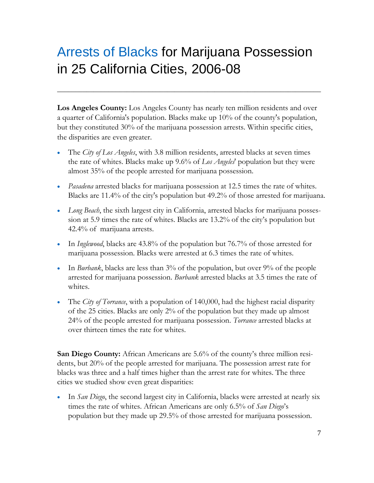# Arrests of Blacks for Marijuana Possession in 25 California Cities, 2006-08

**Los Angeles County:** Los Angeles County has nearly ten million residents and over a quarter of California's population. Blacks make up 10% of the county's population, but they constituted 30% of the marijuana possession arrests. Within specific cities, the disparities are even greater.

**\_\_\_\_\_\_\_\_\_\_\_\_\_\_\_\_\_\_\_\_\_\_\_\_\_\_\_\_\_\_\_\_\_\_\_\_\_\_\_\_\_\_\_\_\_\_\_\_\_\_\_\_\_\_\_\_\_\_\_\_\_\_\_\_\_\_\_\_\_\_\_\_** 

- The *City of Los Angeles*, with 3.8 million residents, arrested blacks at seven times the rate of whites. Blacks make up 9.6% of *Los Angeles*' population but they were almost 35% of the people arrested for marijuana possession.
- *Pasadena* arrested blacks for marijuana possession at 12.5 times the rate of whites. Blacks are 11.4% of the city's population but 49.2% of those arrested for marijuana.
- *Long Beach*, the sixth largest city in California, arrested blacks for marijuana possession at 5.9 times the rate of whites. Blacks are 13.2% of the city's population but 42.4% of marijuana arrests.
- In *Inglewood*, blacks are 43.8% of the population but 76.7% of those arrested for marijuana possession. Blacks were arrested at 6.3 times the rate of whites.
- In *Burbank*, blacks are less than 3% of the population, but over 9% of the people arrested for marijuana possession. *Burbank* arrested blacks at 3.5 times the rate of whites.
- The *City of Torrance*, with a population of 140,000, had the highest racial disparity of the 25 cities. Blacks are only 2% of the population but they made up almost 24% of the people arrested for marijuana possession. *Torrance* arrested blacks at over thirteen times the rate for whites.

**San Diego County:** African Americans are 5.6% of the county's three million residents, but 20% of the people arrested for marijuana. The possession arrest rate for blacks was three and a half times higher than the arrest rate for whites. The three cities we studied show even great disparities:

 In *San Diego*, the second largest city in California, blacks were arrested at nearly six times the rate of whites. African Americans are only 6.5% of *San Diego*'s population but they made up 29.5% of those arrested for marijuana possession.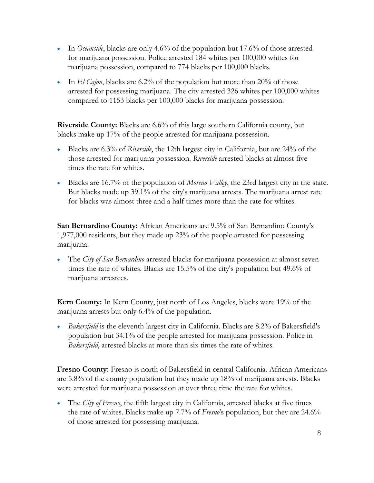- In *Oceanside*, blacks are only 4.6% of the population but 17.6% of those arrested for marijuana possession. Police arrested 184 whites per 100,000 whites for marijuana possession, compared to 774 blacks per 100,000 blacks.
- In *El Cajon*, blacks are 6.2% of the population but more than 20% of those arrested for possessing marijuana. The city arrested 326 whites per 100,000 whites compared to 1153 blacks per 100,000 blacks for marijuana possession.

**Riverside County:** Blacks are 6.6% of this large southern California county, but blacks make up 17% of the people arrested for marijuana possession.

- Blacks are 6.3% of *Riverside*, the 12th largest city in California, but are 24% of the those arrested for marijuana possession. *Riverside* arrested blacks at almost five times the rate for whites.
- Blacks are 16.7% of the population of *Moreno Valley*, the 23rd largest city in the state. But blacks made up 39.1% of the city's marijuana arrests. The marijuana arrest rate for blacks was almost three and a half times more than the rate for whites.

**San Bernardino County:** African Americans are 9.5% of San Bernardino County's 1,977,000 residents, but they made up 23% of the people arrested for possessing marijuana.

 The *City of San Bernardino* arrested blacks for marijuana possession at almost seven times the rate of whites. Blacks are 15.5% of the city's population but 49.6% of marijuana arrestees.

**Kern County:** In Kern County, just north of Los Angeles, blacks were 19% of the marijuana arrests but only 6.4% of the population.

 *Bakersfield* is the eleventh largest city in California. Blacks are 8.2% of Bakersfield's population but 34.1% of the people arrested for marijuana possession. Police in *Bakersfield*, arrested blacks at more than six times the rate of whites.

**Fresno County:** Fresno is north of Bakersfield in central California. African Americans are 5.8% of the county population but they made up 18% of marijuana arrests. Blacks were arrested for marijuana possession at over three time the rate for whites.

 The *City of Fresno*, the fifth largest city in California, arrested blacks at five times the rate of whites. Blacks make up 7.7% of *Fresno*'s population, but they are 24.6% of those arrested for possessing marijuana.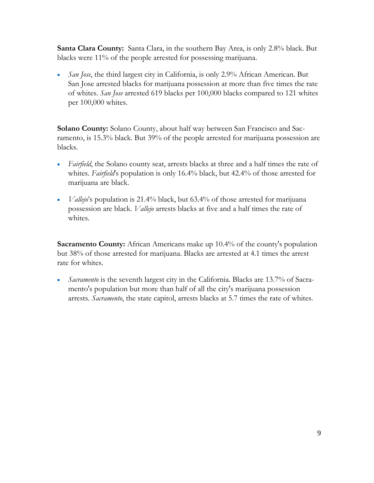**Santa Clara County:** Santa Clara, in the southern Bay Area, is only 2.8% black. But blacks were 11% of the people arrested for possessing marijuana.

 *San Jose*, the third largest city in California, is only 2.9% African American. But San Jose arrested blacks for marijuana possession at more than five times the rate of whites. *San Jose* arrested 619 blacks per 100,000 blacks compared to 121 whites per 100,000 whites.

**Solano County:** Solano County, about half way between San Francisco and Sacramento, is 15.3% black. But 39% of the people arrested for marijuana possession are blacks.

- *Fairfield*, the Solano county seat, arrests blacks at three and a half times the rate of whites. *Fairfield*'s population is only 16.4% black, but 42.4% of those arrested for marijuana are black.
- *Vallejo*'s population is 21.4% black, but 63.4% of those arrested for marijuana possession are black. *Vallejo* arrests blacks at five and a half times the rate of whites.

**Sacramento County:** African Americans make up 10.4% of the county's population but 38% of those arrested for marijuana. Blacks are arrested at 4.1 times the arrest rate for whites.

• *Sacramento* is the seventh largest city in the California. Blacks are 13.7% of Sacramento's population but more than half of all the city's marijuana possession arrests. *Sacramento*, the state capitol, arrests blacks at 5.7 times the rate of whites.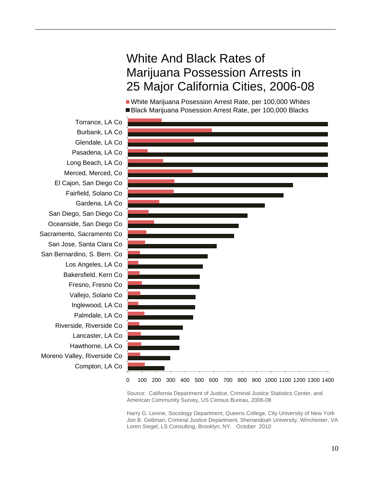#### White And Black Rates of Marijuana Possession Arrests in 25 Major California Cities, 2006-08

\_\_\_\_\_\_\_\_\_\_\_\_\_\_\_\_\_\_\_\_\_\_\_\_\_\_\_\_\_\_\_\_\_\_\_\_\_\_\_\_\_\_\_\_\_\_\_\_\_\_\_\_\_\_\_\_\_\_\_\_\_\_\_\_\_\_\_\_\_\_\_\_\_\_\_\_\_\_\_\_\_\_

White Marijuana Posession Arrest Rate, per 100,000 Whites Black Marijuana Posession Arrest Rate, per 100,000 Blacks



Source: California Department of Justice, Criminal Justice Statistics Center, and American Community Survey, US Census Bureau, 2006-08

Harry G. Levine, Sociology Department, Queens College, City University of New York Jon B. Gettman, Criminal Justice Department, Shenandoah University, Winchester, VA Loren Siegel, LS Consulting, Brooklyn, NY. October 2010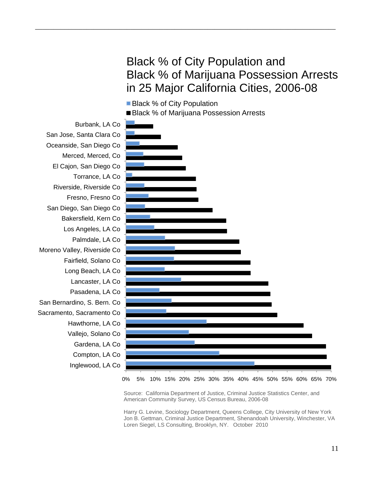#### Black % of City Population and Black % of Marijuana Possession Arrests in 25 Major California Cities, 2006-08



\_\_\_\_\_\_\_\_\_\_\_\_\_\_\_\_\_\_\_\_\_\_\_\_\_\_\_\_\_\_\_\_\_\_\_\_\_\_\_\_\_\_\_\_\_\_\_\_\_\_\_\_\_\_\_\_\_\_\_\_\_\_\_\_\_\_\_\_\_\_\_\_\_\_\_\_\_\_\_\_\_\_

0% 5% 10% 15% 20% 25% 30% 35% 40% 45% 50% 55% 60% 65% 70%

Source: California Department of Justice, Criminal Justice Statistics Center, and American Community Survey, US Census Bureau, 2006-08

Harry G. Levine, Sociology Department, Queens College, City University of New York Jon B. Gettman, Criminal Justice Department, Shenandoah University, Winchester, VA Loren Siegel, LS Consulting, Brooklyn, NY. October 2010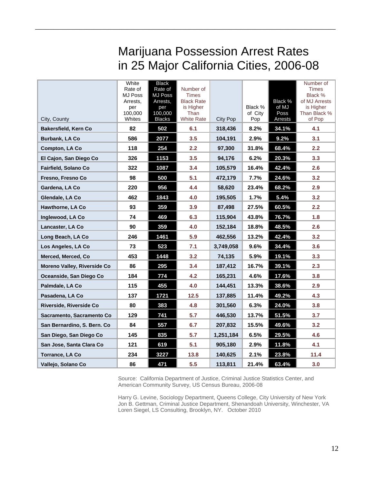## Marijuana Possession Arrest Rates in 25 Major California Cities, 2006-08

\_\_\_\_\_\_\_\_\_\_\_\_\_\_\_\_\_\_\_\_\_\_\_\_\_\_\_\_\_\_\_\_\_\_\_\_\_\_\_\_\_\_\_\_\_\_\_\_\_\_\_\_\_\_\_\_\_\_\_\_\_\_\_\_\_\_\_\_\_\_\_\_\_\_\_\_\_\_\_\_\_\_

| City, County                   | White<br>Rate of<br><b>MJ Poss</b><br>Arrests,<br>per<br>100,000<br>Whites | <b>Black</b><br>Rate of<br><b>MJ Poss</b><br>Arrests,<br>per<br>100,000<br><b>Blacks</b> | Number of<br><b>Times</b><br><b>Black Rate</b><br>is Higher<br>Than<br><b>White Rate</b> | <b>City Pop</b> | Black %<br>of City<br>Pop | Black %<br>of MJ<br>Poss<br>Arrests | Number of<br><b>Times</b><br>Black %<br>of MJ Arrests<br>is Higher<br>Than Black %<br>of Pop |
|--------------------------------|----------------------------------------------------------------------------|------------------------------------------------------------------------------------------|------------------------------------------------------------------------------------------|-----------------|---------------------------|-------------------------------------|----------------------------------------------------------------------------------------------|
| Bakersfield, Kern Co           | 82                                                                         | 502                                                                                      | 6.1                                                                                      | 318,436         | 8.2%                      | 34.1%                               | 4.1                                                                                          |
| <b>Burbank, LA Co</b>          | 586                                                                        | 2077                                                                                     | 3.5                                                                                      | 104,191         | 2.9%                      | 9.2%                                | 3.1                                                                                          |
| Compton, LA Co                 | 118                                                                        | 254                                                                                      | 2.2                                                                                      | 97,300          | 31.8%                     | 68.4%                               | 2.2                                                                                          |
| El Cajon, San Diego Co         | 326                                                                        | 1153                                                                                     | 3.5                                                                                      | 94,176          | 6.2%                      | 20.3%                               | 3.3                                                                                          |
| <b>Fairfield, Solano Co</b>    | 322                                                                        | 1087                                                                                     | 3.4                                                                                      | 105,579         | 16.4%                     | 42.4%                               | 2.6                                                                                          |
| Fresno, Fresno Co              | 98                                                                         | 500                                                                                      | 5.1                                                                                      | 472,179         | 7.7%                      | 24.6%                               | 3.2                                                                                          |
| Gardena, LA Co                 | 220                                                                        | 956                                                                                      | 4.4                                                                                      | 58,620          | 23.4%                     | 68.2%                               | 2.9                                                                                          |
| Glendale, LA Co                | 462                                                                        | 1843                                                                                     | 4.0                                                                                      | 195,505         | 1.7%                      | 5.4%                                | 3.2                                                                                          |
| <b>Hawthorne, LA Co</b>        | 93                                                                         | 359                                                                                      | 3.9                                                                                      | 87,498          | 27.5%                     | 60.5%                               | 2.2                                                                                          |
| Inglewood, LA Co               | 74                                                                         | 469                                                                                      | 6.3                                                                                      | 115,904         | 43.8%                     | 76.7%                               | 1.8                                                                                          |
| Lancaster, LA Co               | 90                                                                         | 359                                                                                      | 4.0                                                                                      | 152,184         | 18.8%                     | 48.5%                               | 2.6                                                                                          |
| Long Beach, LA Co              | 246                                                                        | 1461                                                                                     | 5.9                                                                                      | 462,556         | 13.2%                     | 42.4%                               | 3.2                                                                                          |
| Los Angeles, LA Co             | 73                                                                         | 523                                                                                      | 7.1                                                                                      | 3,749,058       | 9.6%                      | 34.4%                               | 3.6                                                                                          |
| Merced, Merced, Co             | 453                                                                        | 1448                                                                                     | 3.2                                                                                      | 74,135          | 5.9%                      | 19.1%                               | 3.3                                                                                          |
| Moreno Valley, Riverside Co    | 86                                                                         | 295                                                                                      | 3.4                                                                                      | 187,412         | 16.7%                     | 39.1%                               | 2.3                                                                                          |
| Oceanside, San Diego Co        | 184                                                                        | 774                                                                                      | 4.2                                                                                      | 165,231         | 4.6%                      | 17.6%                               | 3.8                                                                                          |
| Palmdale, LA Co                | 115                                                                        | 455                                                                                      | 4.0                                                                                      | 144,451         | 13.3%                     | 38.6%                               | 2.9                                                                                          |
| Pasadena, LA Co                | 137                                                                        | 1721                                                                                     | 12.5                                                                                     | 137,885         | 11.4%                     | 49.2%                               | 4.3                                                                                          |
| <b>Riverside, Riverside Co</b> | 80                                                                         | 383                                                                                      | 4.8                                                                                      | 301,560         | 6.3%                      | 24.0%                               | 3.8                                                                                          |
| Sacramento, Sacramento Co      | 129                                                                        | 741                                                                                      | 5.7                                                                                      | 446,530         | 13.7%                     | 51.5%                               | 3.7                                                                                          |
| San Bernardino, S. Bern. Co    | 84                                                                         | 557                                                                                      | 6.7                                                                                      | 207,832         | 15.5%                     | 49.6%                               | 3.2                                                                                          |
| San Diego, San Diego Co        | 145                                                                        | 835                                                                                      | 5.7                                                                                      | 1,251,184       | 6.5%                      | 29.5%                               | 4.6                                                                                          |
| San Jose, Santa Clara Co       | 121                                                                        | 619                                                                                      | 5.1                                                                                      | 905,180         | 2.9%                      | 11.8%                               | 4.1                                                                                          |
| Torrance, LA Co                | 234                                                                        | 3227                                                                                     | 13.8                                                                                     | 140,625         | 2.1%                      | 23.8%                               | 11.4                                                                                         |
| Vallejo, Solano Co             | 86                                                                         | 471                                                                                      | 5.5                                                                                      | 113,811         | 21.4%                     | 63.4%                               | 3.0                                                                                          |

Source: California Department of Justice, Criminal Justice Statistics Center, and American Community Survey, US Census Bureau, 2006-08

Harry G. Levine, Sociology Department, Queens College, City University of New York Jon B. Gettman, Criminal Justice Department, Shenandoah University, Winchester, VA Loren Siegel, LS Consulting, Brooklyn, NY. October 2010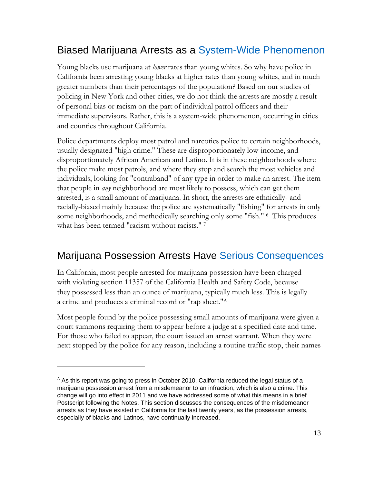#### Biased Marijuana Arrests as a System-Wide Phenomenon

Young blacks use marijuana at *lower* rates than young whites. So why have police in California been arresting young blacks at higher rates than young whites, and in much greater numbers than their percentages of the population? Based on our studies of policing in New York and other cities, we do not think the arrests are mostly a result of personal bias or racism on the part of individual patrol officers and their immediate supervisors. Rather, this is a system-wide phenomenon, occurring in cities and counties throughout California.

Police departments deploy most patrol and narcotics police to certain neighborhoods, usually designated "high crime." These are disproportionately low-income, and disproportionately African American and Latino. It is in these neighborhoods where the police make most patrols, and where they stop and search the most vehicles and individuals, looking for "contraband" of any type in order to make an arrest. The item that people in *any* neighborhood are most likely to possess, which can get them arrested, is a small amount of marijuana. In short, the arrests are ethnically- and racially-biased mainly because the police are systematically "fishing" for arrests in only some neighborhoods, and methodically searching only some "fish." <sup>6</sup> This produces what has been termed "racism without racists." 7

#### Marijuana Possession Arrests Have Serious Consequences

In California, most people arrested for marijuana possession have been charged with violating section 11357 of the California Health and Safety Code, because they possessed less than an ounce of marijuana, typically much less. This is legally a crime and produces a criminal record or "rap sheet."A

Most people found by the police possessing small amounts of marijuana were given a court summons requiring them to appear before a judge at a specified date and time. For those who failed to appear, the court issued an arrest warrant. When they were next stopped by the police for any reason, including a routine traffic stop, their names

 $\overline{a}$ 

 $^{\text{A}}$  As this report was going to press in October 2010, California reduced the legal status of a marijuana possession arrest from a misdemeanor to an infraction, which is also a crime. This change will go into effect in 2011 and we have addressed some of what this means in a brief Postscript following the Notes. This section discusses the consequences of the misdemeanor arrests as they have existed in California for the last twenty years, as the possession arrests, especially of blacks and Latinos, have continually increased.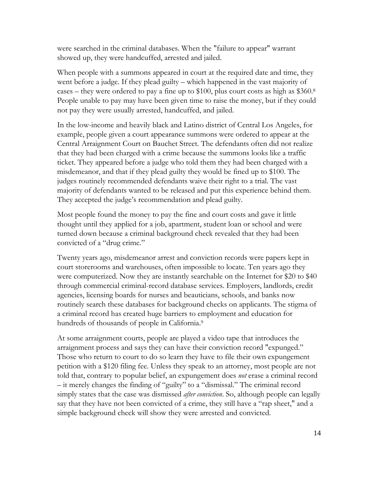were searched in the criminal databases. When the "failure to appear" warrant showed up, they were handcuffed, arrested and jailed.

When people with a summons appeared in court at the required date and time, they went before a judge. If they plead guilty – which happened in the vast majority of cases – they were ordered to pay a fine up to \$100, plus court costs as high as \$360.8 People unable to pay may have been given time to raise the money, but if they could not pay they were usually arrested, handcuffed, and jailed.

In the low-income and heavily black and Latino district of Central Los Angeles, for example, people given a court appearance summons were ordered to appear at the Central Arraignment Court on Bauchet Street. The defendants often did not realize that they had been charged with a crime because the summons looks like a traffic ticket. They appeared before a judge who told them they had been charged with a misdemeanor, and that if they plead guilty they would be fined up to \$100. The judges routinely recommended defendants waive their right to a trial. The vast majority of defendants wanted to be released and put this experience behind them. They accepted the judge's recommendation and plead guilty.

Most people found the money to pay the fine and court costs and gave it little thought until they applied for a job, apartment, student loan or school and were turned down because a criminal background check revealed that they had been convicted of a "drug crime."

Twenty years ago, misdemeanor arrest and conviction records were papers kept in court storerooms and warehouses, often impossible to locate. Ten years ago they were computerized. Now they are instantly searchable on the Internet for \$20 to \$40 through commercial criminal-record database services. Employers, landlords, credit agencies, licensing boards for nurses and beauticians, schools, and banks now routinely search these databases for background checks on applicants. The stigma of a criminal record has created huge barriers to employment and education for hundreds of thousands of people in California.<sup>9</sup>

At some arraignment courts, people are played a video tape that introduces the arraignment process and says they can have their conviction record "expunged." Those who return to court to do so learn they have to file their own expungement petition with a \$120 filing fee. Unless they speak to an attorney, most people are not told that, contrary to popular belief, an expungement does *not* erase a criminal record – it merely changes the finding of "guilty" to a "dismissal." The criminal record simply states that the case was dismissed *after conviction*. So, although people can legally say that they have not been convicted of a crime, they still have a "rap sheet," and a simple background check will show they were arrested and convicted.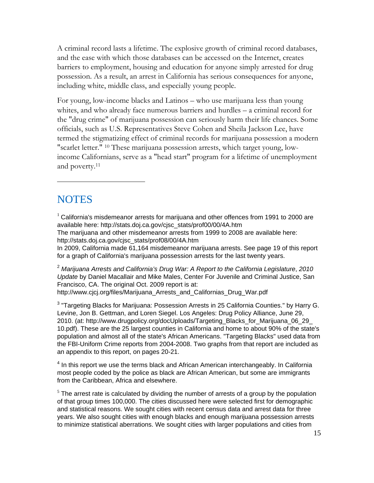A criminal record lasts a lifetime. The explosive growth of criminal record databases, and the ease with which those databases can be accessed on the Internet, creates barriers to employment, housing and education for anyone simply arrested for drug possession. As a result, an arrest in California has serious consequences for anyone, including white, middle class, and especially young people.

For young, low-income blacks and Latinos – who use marijuana less than young whites, and who already face numerous barriers and hurdles – a criminal record for the "drug crime" of marijuana possession can seriously harm their life chances. Some officials, such as U.S. Representatives Steve Cohen and Sheila Jackson Lee, have termed the stigmatizing effect of criminal records for marijuana possession a modern "scarlet letter." 10 These marijuana possession arrests, which target young, lowincome Californians, serve as a "head start" program for a lifetime of unemployment and poverty.11

#### **NOTES**

 $\overline{a}$ 

 $1$  California's misdemeanor arrests for marijuana and other offences from 1991 to 2000 are available here: http://stats.doj.ca.gov/cjsc\_stats/prof00/00/4A.htm

The marijuana and other misdemeanor arrests from 1999 to 2008 are available here: http://stats.doj.ca.gov/cjsc\_stats/prof08/00/4A.htm

In 2009, California made 61,164 misdemeanor marijuana arrests. See page 19 of this report for a graph of California's marijuana possession arrests for the last twenty years.

<sup>2</sup> *Marijuana Arrests and California's Drug War: A Report to the California Legislature*, *2010 Update* by Daniel Macallair and Mike Males, Center For Juvenile and Criminal Justice, San Francisco, CA. The original Oct. 2009 report is at: http://www.cjcj.org/files/Marijuana Arrests and Californias Drug War.pdf

 $3$  "Targeting Blacks for Marijuana: Possession Arrests in 25 California Counties." by Harry G. Levine, Jon B. Gettman, and Loren Siegel. Los Angeles: Drug Policy Alliance, June 29, 2010. (at: http://www.drugpolicy.org/docUploads/Targeting\_Blacks\_for\_Marijuana\_06\_29\_ 10.pdf). These are the 25 largest counties in California and home to about 90% of the state's population and almost all of the state's African Americans. "Targeting Blacks" used data from the FBI-Uniform Crime reports from 2004-2008. Two graphs from that report are included as an appendix to this report, on pages 20-21.

 $4$  In this report we use the terms black and African American interchangeably. In California most people coded by the police as black are African American, but some are immigrants from the Caribbean, Africa and elsewhere.

 $<sup>5</sup>$  The arrest rate is calculated by dividing the number of arrests of a group by the population</sup> of that group times 100,000. The cities discussed here were selected first for demographic and statistical reasons. We sought cities with recent census data and arrest data for three years. We also sought cities with enough blacks and enough marijuana possession arrests to minimize statistical aberrations. We sought cities with larger populations and cities from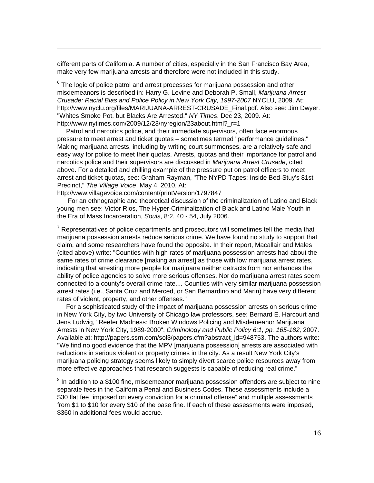different parts of California. A number of cities, especially in the San Francisco Bay Area, make very few marijuana arrests and therefore were not included in this study.

 $6$  The logic of police patrol and arrest processes for marijuana possession and other misdemeanors is described in: Harry G. Levine and Deborah P. Small, *Marijuana Arrest Crusade: Racial Bias and Police Policy in New York City, 1997-2007* NYCLU, 2009. At: http://www.nyclu.org/files/MARIJUANA-ARREST-CRUSADE\_Final.pdf. Also see: Jim Dwyer. "Whites Smoke Pot, but Blacks Are Arrested." *NY Times*. Dec 23, 2009. At: http://www.nytimes.com/2009/12/23/nyregion/23about.html? r=1

 Patrol and narcotics police, and their immediate supervisors, often face enormous pressure to meet arrest and ticket quotas – sometimes termed "performance guidelines." Making marijuana arrests, including by writing court summonses, are a relatively safe and easy way for police to meet their quotas. Arrests, quotas and their importance for patrol and narcotics police and their supervisors are discussed in *Marijuana Arrest Crusade*, cited above. For a detailed and chilling example of the pressure put on patrol officers to meet arrest and ticket quotas, see: Graham Rayman, "The NYPD Tapes: Inside Bed-Stuy's 81st Precinct," *The Village Voice*, May 4, 2010. At:

http://www.villagevoice.com/content/printVersion/1797847

1

 For an ethnographic and theoretical discussion of the criminalization of Latino and Black young men see: Victor Rios, The Hyper-Criminalization of Black and Latino Male Youth in the Era of Mass Incarceration, *Souls*, 8:2, 40 - 54, July 2006.

 $7$  Representatives of police departments and prosecutors will sometimes tell the media that marijuana possession arrests reduce serious crime. We have found no study to support that claim, and some researchers have found the opposite. In their report, Macallair and Males (cited above) write: "Counties with high rates of marijuana possession arrests had about the same rates of crime clearance [making an arrest] as those with low marijuana arrest rates, indicating that arresting more people for marijuana neither detracts from nor enhances the ability of police agencies to solve more serious offenses. Nor do marijuana arrest rates seem connected to a county's overall crime rate.... Counties with very similar marijuana possession arrest rates (i.e., Santa Cruz and Merced, or San Bernardino and Marin) have very different rates of violent, property, and other offenses."

 For a sophisticated study of the impact of marijuana possession arrests on serious crime in New York City, by two University of Chicago law professors, see: Bernard E. Harcourt and Jens Ludwig, "Reefer Madness: Broken Windows Policing and Misdemeanor Marijuana Arrests in New York City, 1989-2000", *Criminology and Public Policy 6:1, pp. 165-182,* 2007. Available at: http://papers.ssrn.com/sol3/papers.cfm?abstract\_id=948753. The authors write: "We find no good evidence that the MPV [marijuana possession] arrests are associated with reductions in serious violent or property crimes in the city. As a result New York City's marijuana policing strategy seems likely to simply divert scarce police resources away from more effective approaches that research suggests is capable of reducing real crime."

 $8$  In addition to a \$100 fine, misdemeanor marijuana possession offenders are subject to nine separate fees in the California Penal and Business Codes. These assessments include a \$30 flat fee "imposed on every conviction for a criminal offense" and multiple assessments from \$1 to \$10 for every \$10 of the base fine. If each of these assessments were imposed, \$360 in additional fees would accrue.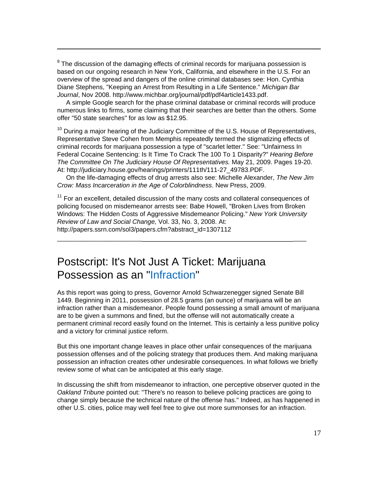<sup>9</sup> The discussion of the damaging effects of criminal records for marijuana possession is based on our ongoing research in New York, California, and elsewhere in the U.S. For an overview of the spread and dangers of the online criminal databases see: Hon. Cynthia Diane Stephens, "Keeping an Arrest from Resulting in a Life Sentence." *Michigan Bar Journal*, Nov 2008. http://www.michbar.org/journal/pdf/pdf4article1433.pdf.

1

 A simple Google search for the phase criminal database or criminal records will produce numerous links to firms, some claiming that their searches are better than the others. Some offer "50 state searches" for as low as \$12.95.

 $10$  During a major hearing of the Judiciary Committee of the U.S. House of Representatives, Representative Steve Cohen from Memphis repeatedly termed the stigmatizing effects of criminal records for marijuana possession a type of "scarlet letter." See: "Unfairness In Federal Cocaine Sentencing: Is It Time To Crack The 100 To 1 Disparity?" *Hearing Before The Committee On The Judiciary House Of Representatives.* May 21, 2009. Pages 19-20. At: http://judiciary.house.gov/hearings/printers/111th/111-27\_49783.PDF.

 On the life-damaging effects of drug arrests also see: Michelle Alexander, *The New Jim Crow: Mass Incarceration in the Age of Colorblindness*. New Press, 2009.

 $11$  For an excellent, detailed discussion of the many costs and collateral consequences of policing focused on misdemeanor arrests see: Babe Howell, "Broken Lives from Broken Windows: The Hidden Costs of Aggressive Misdemeanor Policing." *New York University Review of Law and Social Change,* Vol. 33, No. 3, 2008. At: http://papers.ssrn.com/sol3/papers.cfm?abstract\_id=1307112

\_\_\_\_\_\_\_\_\_\_\_\_\_\_\_\_\_\_\_\_\_\_\_\_\_\_\_\_\_\_\_\_\_\_\_\_\_\_\_\_\_\_\_\_\_\_\_\_\_\_\_\_\_\_\_\_\_\_\_\_\_\_\_\_\_\_

#### Postscript: It's Not Just A Ticket: Marijuana Possession as an "Infraction"

As this report was going to press, Governor Arnold Schwarzenegger signed Senate Bill 1449. Beginning in 2011, possession of 28.5 grams (an ounce) of marijuana will be an infraction rather than a misdemeanor. People found possessing a small amount of marijuana are to be given a summons and fined, but the offense will not automatically create a permanent criminal record easily found on the Internet. This is certainly a less punitive policy and a victory for criminal justice reform.

But this one important change leaves in place other unfair consequences of the marijuana possession offenses and of the policing strategy that produces them. And making marijuana possession an infraction creates other undesirable consequences. In what follows we briefly review some of what can be anticipated at this early stage.

In discussing the shift from misdemeanor to infraction, one perceptive observer quoted in the *Oakland Tribune* pointed out: "There's no reason to believe policing practices are going to change simply because the technical nature of the offense has." Indeed, as has happened in other U.S. cities, police may well feel free to give out more summonses for an infraction.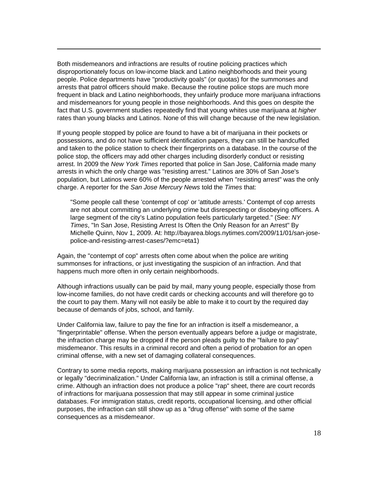Both misdemeanors and infractions are results of routine policing practices which disproportionately focus on low-income black and Latino neighborhoods and their young people. Police departments have "productivity goals" (or quotas) for the summonses and arrests that patrol officers should make. Because the routine police stops are much more frequent in black and Latino neighborhoods, they unfairly produce more marijuana infractions and misdemeanors for young people in those neighborhoods. And this goes on despite the fact that U.S. government studies repeatedly find that young whites use marijuana at *higher* rates than young blacks and Latinos. None of this will change because of the new legislation.

1

If young people stopped by police are found to have a bit of marijuana in their pockets or possessions, and do not have sufficient identification papers, they can still be handcuffed and taken to the police station to check their fingerprints on a database. In the course of the police stop, the officers may add other charges including disorderly conduct or resisting arrest. In 2009 the *New York Times* reported that police in San Jose, California made many arrests in which the only charge was "resisting arrest." Latinos are 30% of San Jose's population, but Latinos were 60% of the people arrested when "resisting arrest" was the only charge. A reporter for the *San Jose Mercury News* told the *Times* that:

"Some people call these 'contempt of cop' or 'attitude arrests.' Contempt of cop arrests are not about committing an underlying crime but disrespecting or disobeying officers. A large segment of the city's Latino population feels particularly targeted." (See: *NY Times*, "In San Jose, Resisting Arrest Is Often the Only Reason for an Arrest" By Michelle Quinn, Nov 1, 2009. At: http://bayarea.blogs.nytimes.com/2009/11/01/san-josepolice-and-resisting-arrest-cases/?emc=eta1)

Again, the "contempt of cop" arrests often come about when the police are writing summonses for infractions, or just investigating the suspicion of an infraction. And that happens much more often in only certain neighborhoods.

Although infractions usually can be paid by mail, many young people, especially those from low-income families, do not have credit cards or checking accounts and will therefore go to the court to pay them. Many will not easily be able to make it to court by the required day because of demands of jobs, school, and family.

Under California law, failure to pay the fine for an infraction is itself a misdemeanor, a "fingerprintable" offense. When the person eventually appears before a judge or magistrate, the infraction charge may be dropped if the person pleads guilty to the "failure to pay" misdemeanor. This results in a criminal record and often a period of probation for an open criminal offense, with a new set of damaging collateral consequences.

Contrary to some media reports, making marijuana possession an infraction is not technically or legally "decriminalization." Under California law, an infraction is still a criminal offense, a crime. Although an infraction does not produce a police "rap" sheet, there are court records of infractions for marijuana possession that may still appear in some criminal justice databases. For immigration status, credit reports, occupational licensing, and other official purposes, the infraction can still show up as a "drug offense" with some of the same consequences as a misdemeanor.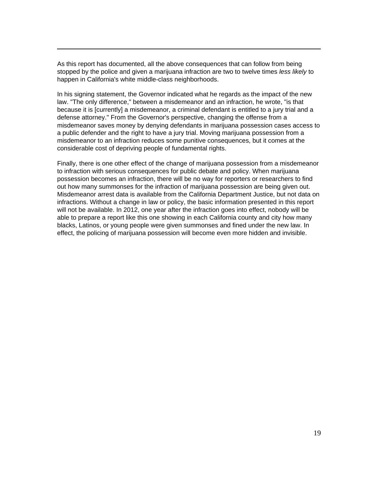As this report has documented, all the above consequences that can follow from being stopped by the police and given a marijuana infraction are two to twelve times *less likely* to happen in California's white middle-class neighborhoods.

1

In his signing statement, the Governor indicated what he regards as the impact of the new law. "The only difference," between a misdemeanor and an infraction, he wrote, "is that because it is [currently] a misdemeanor, a criminal defendant is entitled to a jury trial and a defense attorney." From the Governor's perspective, changing the offense from a misdemeanor saves money by denying defendants in marijuana possession cases access to a public defender and the right to have a jury trial. Moving marijuana possession from a misdemeanor to an infraction reduces some punitive consequences, but it comes at the considerable cost of depriving people of fundamental rights.

Finally, there is one other effect of the change of marijuana possession from a misdemeanor to infraction with serious consequences for public debate and policy. When marijuana possession becomes an infraction, there will be no way for reporters or researchers to find out how many summonses for the infraction of marijuana possession are being given out. Misdemeanor arrest data is available from the California Department Justice, but not data on infractions. Without a change in law or policy, the basic information presented in this report will not be available. In 2012, one year after the infraction goes into effect, nobody will be able to prepare a report like this one showing in each California county and city how many blacks, Latinos, or young people were given summonses and fined under the new law. In effect, the policing of marijuana possession will become even more hidden and invisible.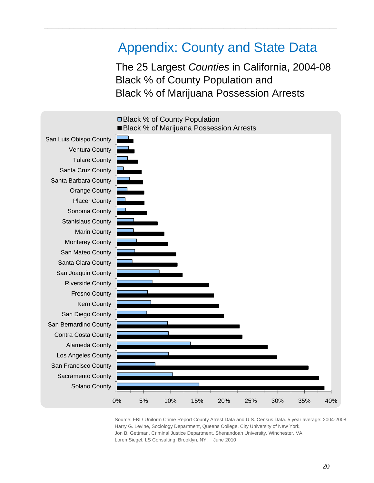#### Appendix: County and State Data

\_\_\_\_\_\_\_\_\_\_\_\_\_\_\_\_\_\_\_\_\_\_\_\_\_\_\_\_\_\_\_\_\_\_\_\_\_\_\_\_\_\_\_\_\_\_\_\_\_\_\_\_\_\_\_\_\_\_\_\_\_\_\_\_\_\_\_\_\_\_\_\_\_\_\_\_\_\_\_\_

The 25 Largest *Counties* in California, 2004-08 Black % of County Population and Black % of Marijuana Possession Arrests



Source: FBI / Uniform Crime Report County Arrest Data and U.S. Census Data. 5 year average: 2004-2008 Harry G. Levine, Sociology Department, Queens College, City University of New York, Jon B. Gettman, Criminal Justice Department, Shenandoah University, Winchester, VA Loren Siegel, LS Consulting, Brooklyn, NY. June 2010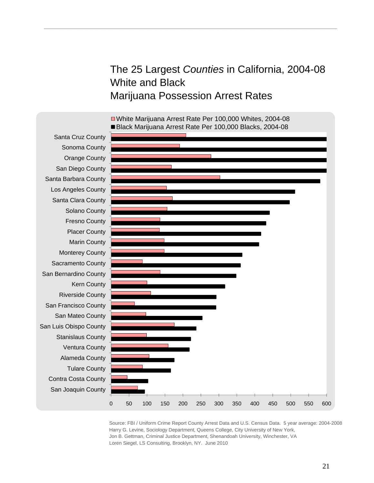The 25 Largest *Counties* in California, 2004-08 White and Black Marijuana Possession Arrest Rates



■White Marijuana Arrest Rate Per 100,000 Whites, 2004-08

\_\_\_\_\_\_\_\_\_\_\_\_\_\_\_\_\_\_\_\_\_\_\_\_\_\_\_\_\_\_\_\_\_\_\_\_\_\_\_\_\_\_\_\_\_\_\_\_\_\_\_\_\_\_\_\_\_\_\_\_\_\_\_\_\_\_\_\_\_\_\_\_\_\_\_\_\_\_\_\_

Source: FBI / Uniform Crime Report County Arrest Data and U.S. Census Data. 5 year average: 2004-2008 Harry G. Levine, Sociology Department, Queens College, City University of New York, Jon B. Gettman, Criminal Justice Department, Shenandoah University, Winchester, VA Loren Siegel, LS Consulting, Brooklyn, NY. June 2010